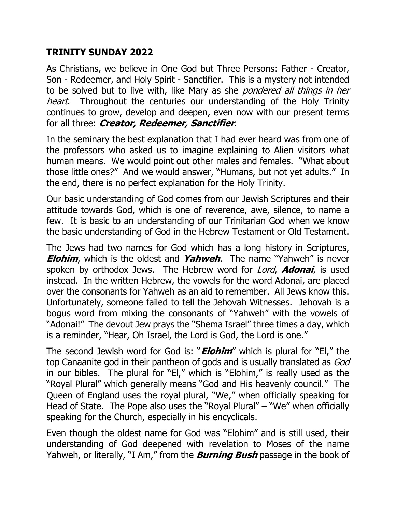## **TRINITY SUNDAY 2022**

As Christians, we believe in One God but Three Persons: Father - Creator, Son - Redeemer, and Holy Spirit - Sanctifier. This is a mystery not intended to be solved but to live with, like Mary as she *pondered all things in her* heart. Throughout the centuries our understanding of the Holy Trinity continues to grow, develop and deepen, even now with our present terms for all three: **Creator, Redeemer, Sanctifier**.

In the seminary the best explanation that I had ever heard was from one of the professors who asked us to imagine explaining to Alien visitors what human means. We would point out other males and females. "What about those little ones?" And we would answer, "Humans, but not yet adults." In the end, there is no perfect explanation for the Holy Trinity.

Our basic understanding of God comes from our Jewish Scriptures and their attitude towards God, which is one of reverence, awe, silence, to name a few. It is basic to an understanding of our Trinitarian God when we know the basic understanding of God in the Hebrew Testament or Old Testament.

The Jews had two names for God which has a long history in Scriptures, **Elohim**, which is the oldest and **Yahweh**. The name "Yahweh" is never spoken by orthodox Jews. The Hebrew word for Lord, **Adonai**, is used instead. In the written Hebrew, the vowels for the word Adonai, are placed over the consonants for Yahweh as an aid to remember. All Jews know this. Unfortunately, someone failed to tell the Jehovah Witnesses. Jehovah is a bogus word from mixing the consonants of "Yahweh" with the vowels of "Adonai!" The devout Jew prays the "Shema Israel" three times a day, which is a reminder, "Hear, Oh Israel, the Lord is God, the Lord is one."

The second Jewish word for God is: "**Elohim**" which is plural for "El," the top Canaanite god in their pantheon of gods and is usually translated as God in our bibles. The plural for "El," which is "Elohim," is really used as the "Royal Plural" which generally means "God and His heavenly council." The Queen of England uses the royal plural, "We," when officially speaking for Head of State. The Pope also uses the "Royal Plural" – "We" when officially speaking for the Church, especially in his encyclicals.

Even though the oldest name for God was "Elohim" and is still used, their understanding of God deepened with revelation to Moses of the name Yahweh, or literally, "I Am," from the **Burning Bush** passage in the book of